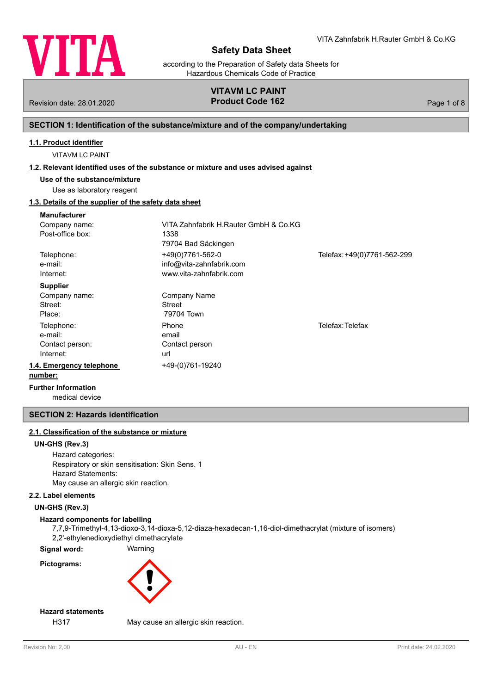

according to the Preparation of Safety data Sheets for Hazardous Chemicals Code of Practice

# **VITAVM LC PAINT**

Revision date: 28.01.2020 **Product Code 162** Page 1 of 8

# **SECTION 1: Identification of the substance/mixture and of the company/undertaking**

#### **1.1. Product identifier**

VITAVM LC PAINT

#### **1.2. Relevant identified uses of the substance or mixture and uses advised against**

**Use of the substance/mixture**

# Use as laboratory reagent

# **1.3. Details of the supplier of the safety data sheet**

| <b>Manufacturer</b>      |                                       |                             |
|--------------------------|---------------------------------------|-----------------------------|
| Company name:            | VITA Zahnfabrik H.Rauter GmbH & Co.KG |                             |
| Post-office box:         | 1338                                  |                             |
|                          | 79704 Bad Säckingen                   |                             |
| Telephone:               | +49(0)7761-562-0                      | Telefax: +49(0)7761-562-299 |
| e-mail:                  | info@vita-zahnfabrik.com              |                             |
| Internet:                | www.vita-zahnfabrik.com               |                             |
| <b>Supplier</b>          |                                       |                             |
| Company name:            | Company Name                          |                             |
| Street:                  | Street                                |                             |
| Place:                   | 79704 Town                            |                             |
| Telephone:               | Phone                                 | Telefax: Telefax            |
| e-mail:                  | email                                 |                             |
| Contact person:          | Contact person                        |                             |
| Internet:                | url                                   |                             |
| 1.4. Emergency telephone | +49-(0)761-19240                      |                             |
| number:                  |                                       |                             |
| European Information     |                                       |                             |

medical device **Further Information**

# **SECTION 2: Hazards identification**

# **2.1. Classification of the substance or mixture**

#### **UN-GHS (Rev.3)**

Hazard categories: Respiratory or skin sensitisation: Skin Sens. 1 Hazard Statements: May cause an allergic skin reaction.

# **2.2. Label elements**

**UN-GHS (Rev.3)**

# **Hazard components for labelling**

7,7,9-Trimethyl-4,13-dioxo-3,14-dioxa-5,12-diaza-hexadecan-1,16-diol-dimethacrylat (mixture of isomers) 2,2'-ethylenedioxydiethyl dimethacrylate

**Signal word:** Warning

**Pictograms:**



# **Hazard statements**

H317 May cause an allergic skin reaction.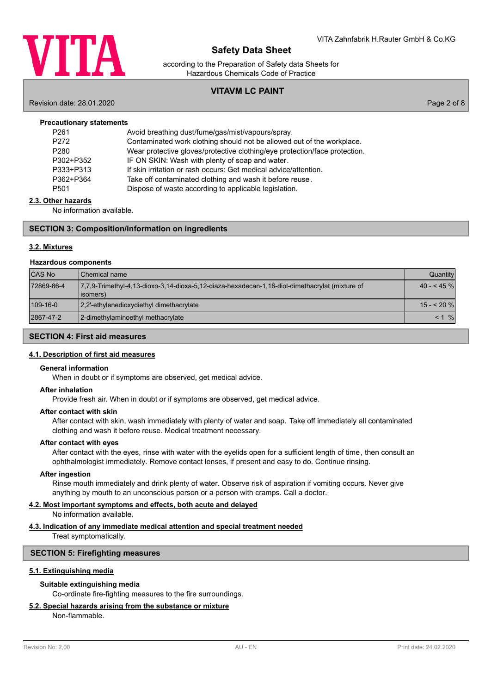

according to the Preparation of Safety data Sheets for Hazardous Chemicals Code of Practice

# **VITAVM LC PAINT**

Revision date: 28.01.2020 Page 2 of 8

| <b>Precautionary statements</b> |                                                                            |
|---------------------------------|----------------------------------------------------------------------------|
| P <sub>261</sub>                | Avoid breathing dust/fume/gas/mist/vapours/spray.                          |
| P <sub>272</sub>                | Contaminated work clothing should not be allowed out of the workplace.     |
| P <sub>280</sub>                | Wear protective gloves/protective clothing/eye protection/face protection. |
| P302+P352                       | IF ON SKIN: Wash with plenty of soap and water.                            |
| P333+P313                       | If skin irritation or rash occurs: Get medical advice/attention.           |
| P362+P364                       | Take off contaminated clothing and wash it before reuse.                   |
| P <sub>501</sub>                | Dispose of waste according to applicable legislation.                      |
|                                 |                                                                            |

#### **2.3. Other hazards**

No information available.

### **SECTION 3: Composition/information on ingredients**

#### **3.2. Mixtures**

#### **Hazardous components**

| <b>CAS No</b> | l Chemical name                                                                                             | Quantity    |
|---------------|-------------------------------------------------------------------------------------------------------------|-------------|
| 72869-86-4    | 7.7.9-Trimethyl-4.13-dioxo-3.14-dioxa-5.12-diaza-hexadecan-1.16-diol-dimethacrylat (mixture of<br>(lisomers | $40 - 45\%$ |
| 109-16-0      | 2.2'-ethylenedioxydiethyl dimethacrylate                                                                    | $15 - 20$ % |
| 2867-47-2     | 2-dimethylaminoethyl methacrylate                                                                           | $\%$        |

# **SECTION 4: First aid measures**

# **4.1. Description of first aid measures**

#### **General information**

When in doubt or if symptoms are observed, get medical advice.

#### **After inhalation**

Provide fresh air. When in doubt or if symptoms are observed, get medical advice.

#### **After contact with skin**

After contact with skin, wash immediately with plenty of water and soap. Take off immediately all contaminated clothing and wash it before reuse. Medical treatment necessary.

#### **After contact with eyes**

After contact with the eyes, rinse with water with the eyelids open for a sufficient length of time, then consult an ophthalmologist immediately. Remove contact lenses, if present and easy to do. Continue rinsing.

#### **After ingestion**

Rinse mouth immediately and drink plenty of water. Observe risk of aspiration if vomiting occurs. Never give anything by mouth to an unconscious person or a person with cramps. Call a doctor.

#### **4.2. Most important symptoms and effects, both acute and delayed**

No information available.

# **4.3. Indication of any immediate medical attention and special treatment needed**

Treat symptomatically.

# **SECTION 5: Firefighting measures**

#### **5.1. Extinguishing media**

#### **Suitable extinguishing media**

Co-ordinate fire-fighting measures to the fire surroundings.

# **5.2. Special hazards arising from the substance or mixture**

Non-flammable.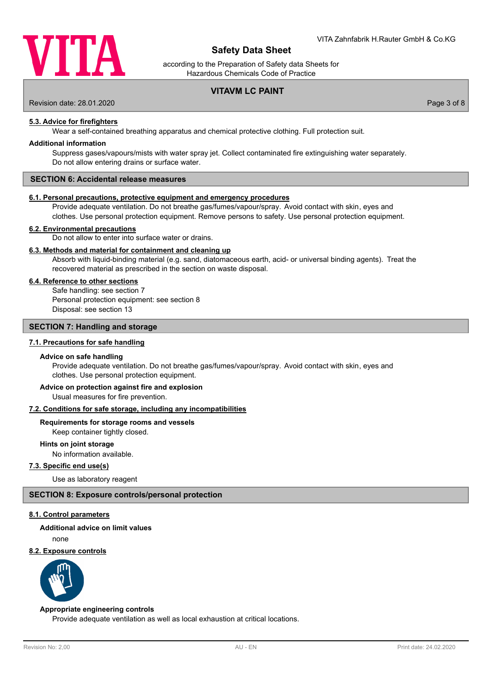

according to the Preparation of Safety data Sheets for Hazardous Chemicals Code of Practice

# **VITAVM LC PAINT**

Revision date: 28.01.2020 Page 3 of 8

**5.3. Advice for firefighters**

Wear a self-contained breathing apparatus and chemical protective clothing. Full protection suit.

#### **Additional information**

Suppress gases/vapours/mists with water spray jet. Collect contaminated fire extinguishing water separately. Do not allow entering drains or surface water.

#### **SECTION 6: Accidental release measures**

#### **6.1. Personal precautions, protective equipment and emergency procedures**

Provide adequate ventilation. Do not breathe gas/fumes/vapour/spray. Avoid contact with skin, eyes and clothes. Use personal protection equipment. Remove persons to safety. Use personal protection equipment.

#### **6.2. Environmental precautions**

Do not allow to enter into surface water or drains.

# **6.3. Methods and material for containment and cleaning up**

Absorb with liquid-binding material (e.g. sand, diatomaceous earth, acid- or universal binding agents). Treat the recovered material as prescribed in the section on waste disposal.

# **6.4. Reference to other sections**

Safe handling: see section 7 Personal protection equipment: see section 8 Disposal: see section 13

#### **SECTION 7: Handling and storage**

#### **7.1. Precautions for safe handling**

#### **Advice on safe handling**

Provide adequate ventilation. Do not breathe gas/fumes/vapour/spray. Avoid contact with skin, eyes and clothes. Use personal protection equipment.

# **Advice on protection against fire and explosion**

Usual measures for fire prevention.

#### **7.2. Conditions for safe storage, including any incompatibilities**

# **Requirements for storage rooms and vessels**

Keep container tightly closed.

# **Hints on joint storage**

No information available.

# **7.3. Specific end use(s)**

Use as laboratory reagent

#### **SECTION 8: Exposure controls/personal protection**

# **8.1. Control parameters**

# **Additional advice on limit values**

none

#### **8.2. Exposure controls**



#### **Appropriate engineering controls**

Provide adequate ventilation as well as local exhaustion at critical locations.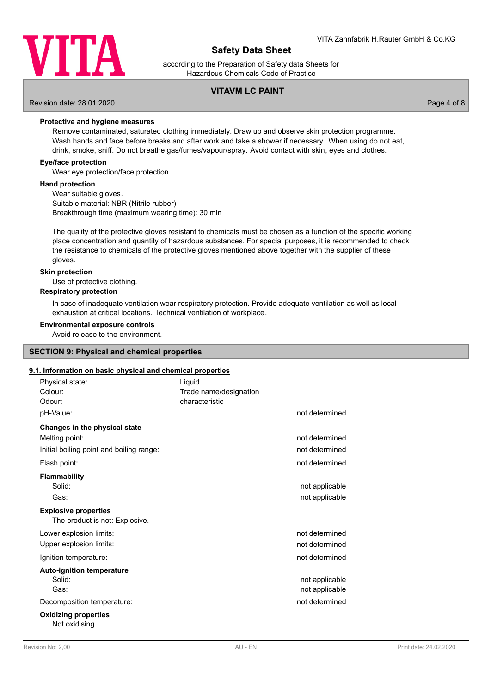

according to the Preparation of Safety data Sheets for Hazardous Chemicals Code of Practice

# **VITAVM LC PAINT**

Revision date: 28.01.2020 Page 4 of 8

**Protective and hygiene measures**

Remove contaminated, saturated clothing immediately. Draw up and observe skin protection programme. Wash hands and face before breaks and after work and take a shower if necessary . When using do not eat, drink, smoke, sniff. Do not breathe gas/fumes/vapour/spray. Avoid contact with skin, eyes and clothes.

#### **Eye/face protection**

Wear eye protection/face protection.

#### **Hand protection**

Wear suitable gloves. Suitable material: NBR (Nitrile rubber) Breakthrough time (maximum wearing time): 30 min

The quality of the protective gloves resistant to chemicals must be chosen as a function of the specific working place concentration and quantity of hazardous substances. For special purposes, it is recommended to check the resistance to chemicals of the protective gloves mentioned above together with the supplier of these gloves.

#### **Skin protection**

Use of protective clothing.

#### **Respiratory protection**

In case of inadequate ventilation wear respiratory protection. Provide adequate ventilation as well as local exhaustion at critical locations. Technical ventilation of workplace.

### **Environmental exposure controls**

Avoid release to the environment.

# **SECTION 9: Physical and chemical properties**

#### **9.1. Information on basic physical and chemical properties**

| Physical state:<br>Colour:<br>Odour:                          | Liquid<br>Trade name/designation<br>characteristic |                                  |
|---------------------------------------------------------------|----------------------------------------------------|----------------------------------|
| pH-Value:                                                     |                                                    | not determined                   |
| Changes in the physical state                                 |                                                    |                                  |
| Melting point:                                                |                                                    | not determined                   |
| Initial boiling point and boiling range:                      |                                                    | not determined                   |
| Flash point:                                                  |                                                    | not determined                   |
| <b>Flammability</b><br>Solid:<br>Gas:                         |                                                    | not applicable<br>not applicable |
| <b>Explosive properties</b><br>The product is not: Explosive. |                                                    |                                  |
| Lower explosion limits:                                       |                                                    | not determined                   |
| Upper explosion limits:                                       |                                                    | not determined                   |
| Ignition temperature:                                         |                                                    | not determined                   |
| <b>Auto-ignition temperature</b><br>Solid:<br>Gas:            |                                                    | not applicable<br>not applicable |
| Decomposition temperature:                                    |                                                    | not determined                   |
| <b>Oxidizing properties</b><br>Not oxidisina.                 |                                                    |                                  |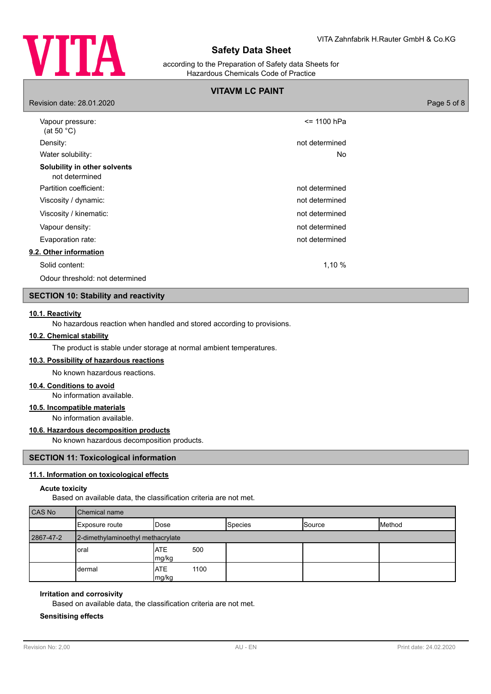

according to the Preparation of Safety data Sheets for Hazardous Chemicals Code of Practice

# **VITAVM LC PAINT**

| Revision date: 28.01.2020                      |                | Page 5 of 8 |
|------------------------------------------------|----------------|-------------|
| Vapour pressure:<br>(at 50 $^{\circ}$ C)       | <= 1100 hPa    |             |
| Density:                                       | not determined |             |
| Water solubility:                              | No             |             |
| Solubility in other solvents<br>not determined |                |             |
| Partition coefficient:                         | not determined |             |
| Viscosity / dynamic:                           | not determined |             |
| Viscosity / kinematic:                         | not determined |             |
| Vapour density:                                | not determined |             |
| Evaporation rate:                              | not determined |             |
| 9.2. Other information                         |                |             |
| Solid content:                                 | 1,10 %         |             |
| Odour threshold: not determined                |                |             |
|                                                |                |             |

# **SECTION 10: Stability and reactivity**

#### **10.1. Reactivity**

No hazardous reaction when handled and stored according to provisions.

# **10.2. Chemical stability**

The product is stable under storage at normal ambient temperatures.

# **10.3. Possibility of hazardous reactions**

No known hazardous reactions.

#### **10.4. Conditions to avoid**

No information available.

# **10.5. Incompatible materials**

No information available.

# **10.6. Hazardous decomposition products**

No known hazardous decomposition products.

### **SECTION 11: Toxicological information**

#### **11.1. Information on toxicological effects**

#### **Acute toxicity**

Based on available data, the classification criteria are not met.

| <b>CAS No</b> | <b>Chemical name</b>              |                       |                |               |        |
|---------------|-----------------------------------|-----------------------|----------------|---------------|--------|
|               | Exposure route                    | IDose                 | <b>Species</b> | <b>Source</b> | Method |
| 2867-47-2     | 2-dimethylaminoethyl methacrylate |                       |                |               |        |
|               | oral                              | 500<br>IATE<br>mg/kg  |                |               |        |
|               | dermal                            | IATE<br>1100<br>mg/kg |                |               |        |

#### **Irritation and corrosivity**

Based on available data, the classification criteria are not met.

### **Sensitising effects**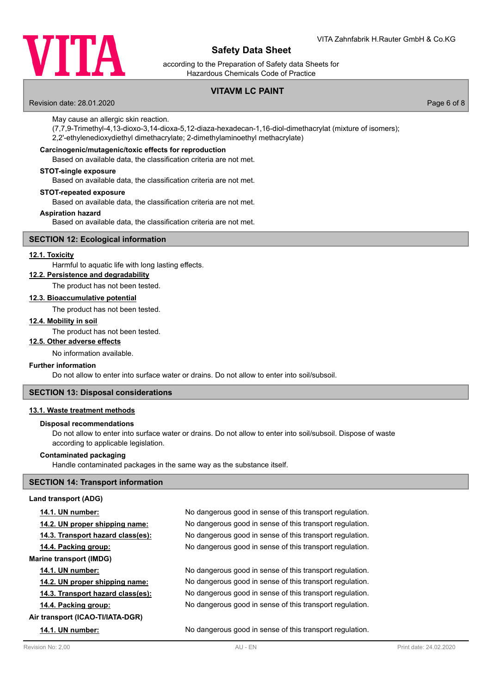

according to the Preparation of Safety data Sheets for Hazardous Chemicals Code of Practice

# **VITAVM LC PAINT**

Revision date: 28.01.2020 Page 6 of 8

May cause an allergic skin reaction.

(7,7,9-Trimethyl-4,13-dioxo-3,14-dioxa-5,12-diaza-hexadecan-1,16-diol-dimethacrylat (mixture of isomers); 2,2'-ethylenedioxydiethyl dimethacrylate; 2-dimethylaminoethyl methacrylate)

# **Carcinogenic/mutagenic/toxic effects for reproduction**

Based on available data, the classification criteria are not met.

#### **STOT-single exposure**

Based on available data, the classification criteria are not met.

#### **STOT-repeated exposure**

Based on available data, the classification criteria are not met.

#### **Aspiration hazard**

Based on available data, the classification criteria are not met.

#### **SECTION 12: Ecological information**

# **12.1. Toxicity**

Harmful to aquatic life with long lasting effects.

# **12.2. Persistence and degradability**

The product has not been tested.

# **12.3. Bioaccumulative potential**

The product has not been tested.

#### **12.4. Mobility in soil**

The product has not been tested.

#### **12.5. Other adverse effects**

No information available.

#### **Further information**

Do not allow to enter into surface water or drains. Do not allow to enter into soil/subsoil.

### **SECTION 13: Disposal considerations**

### **13.1. Waste treatment methods**

#### **Disposal recommendations**

Do not allow to enter into surface water or drains. Do not allow to enter into soil/subsoil. Dispose of waste according to applicable legislation.

#### **Contaminated packaging**

Handle contaminated packages in the same way as the substance itself.

#### **SECTION 14: Transport information**

#### **Land transport (ADG)**

| <b>14.1. UN number:</b>           | No dangerous good in sense of this transport regulation. |
|-----------------------------------|----------------------------------------------------------|
| 14.2. UN proper shipping name:    | No dangerous good in sense of this transport regulation. |
| 14.3. Transport hazard class(es): | No dangerous good in sense of this transport regulation. |
| 14.4. Packing group:              | No dangerous good in sense of this transport regulation. |
| <b>Marine transport (IMDG)</b>    |                                                          |
| <b>14.1. UN number:</b>           | No dangerous good in sense of this transport regulation. |
| 14.2. UN proper shipping name:    | No dangerous good in sense of this transport regulation. |
| 14.3. Transport hazard class(es): | No dangerous good in sense of this transport regulation. |
| 14.4. Packing group:              | No dangerous good in sense of this transport regulation. |
| Air transport (ICAO-TI/IATA-DGR)  |                                                          |
| <b>14.1. UN number:</b>           | No dangerous good in sense of this transport regulation. |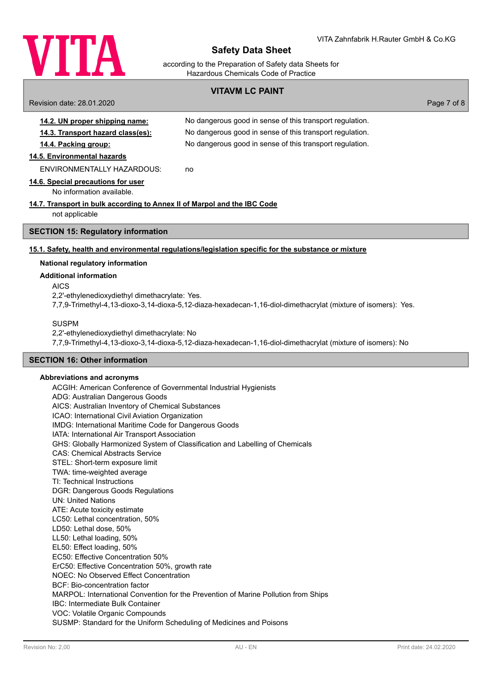

according to the Preparation of Safety data Sheets for Hazardous Chemicals Code of Practice

# **VITAVM LC PAINT**

Revision date: 28.01.2020 Page 7 of 8 **14.2. UN proper shipping name:** No dangerous good in sense of this transport regulation. **14.3. Transport hazard class(es):** No dangerous good in sense of this transport regulation. **14.4. Packing group:** No dangerous good in sense of this transport regulation. **14.5. Environmental hazards** ENVIRONMENTALLY HAZARDOUS: no **14.6. Special precautions for user** No information available. **14.7. Transport in bulk according to Annex II of Marpol and the IBC Code** not applicable **SECTION 15: Regulatory information 15.1. Safety, health and environmental regulations/legislation specific for the substance or mixture National regulatory information Additional information** AICS 2,2'-ethylenedioxydiethyl dimethacrylate: Yes. 7,7,9-Trimethyl-4,13-dioxo-3,14-dioxa-5,12-diaza-hexadecan-1,16-diol-dimethacrylat (mixture of isomers): Yes.

SUSPM

2,2'-ethylenedioxydiethyl dimethacrylate: No

7,7,9-Trimethyl-4,13-dioxo-3,14-dioxa-5,12-diaza-hexadecan-1,16-diol-dimethacrylat (mixture of isomers): No

# **SECTION 16: Other information**

# **Abbreviations and acronyms**

ACGIH: American Conference of Governmental Industrial Hygienists ADG: Australian Dangerous Goods AICS: Australian Inventory of Chemical Substances ICAO: International Civil Aviation Organization IMDG: International Maritime Code for Dangerous Goods IATA: International Air Transport Association GHS: Globally Harmonized System of Classification and Labelling of Chemicals CAS: Chemical Abstracts Service STEL: Short-term exposure limit TWA: time-weighted average TI: Technical Instructions DGR: Dangerous Goods Regulations UN: United Nations ATE: Acute toxicity estimate LC50: Lethal concentration, 50% LD50: Lethal dose, 50% LL50: Lethal loading, 50% EL50: Effect loading, 50% EC50: Effective Concentration 50% ErC50: Effective Concentration 50%, growth rate NOEC: No Observed Effect Concentration BCF: Bio-concentration factor MARPOL: International Convention for the Prevention of Marine Pollution from Ships IBC: Intermediate Bulk Container VOC: Volatile Organic Compounds SUSMP: Standard for the Uniform Scheduling of Medicines and Poisons